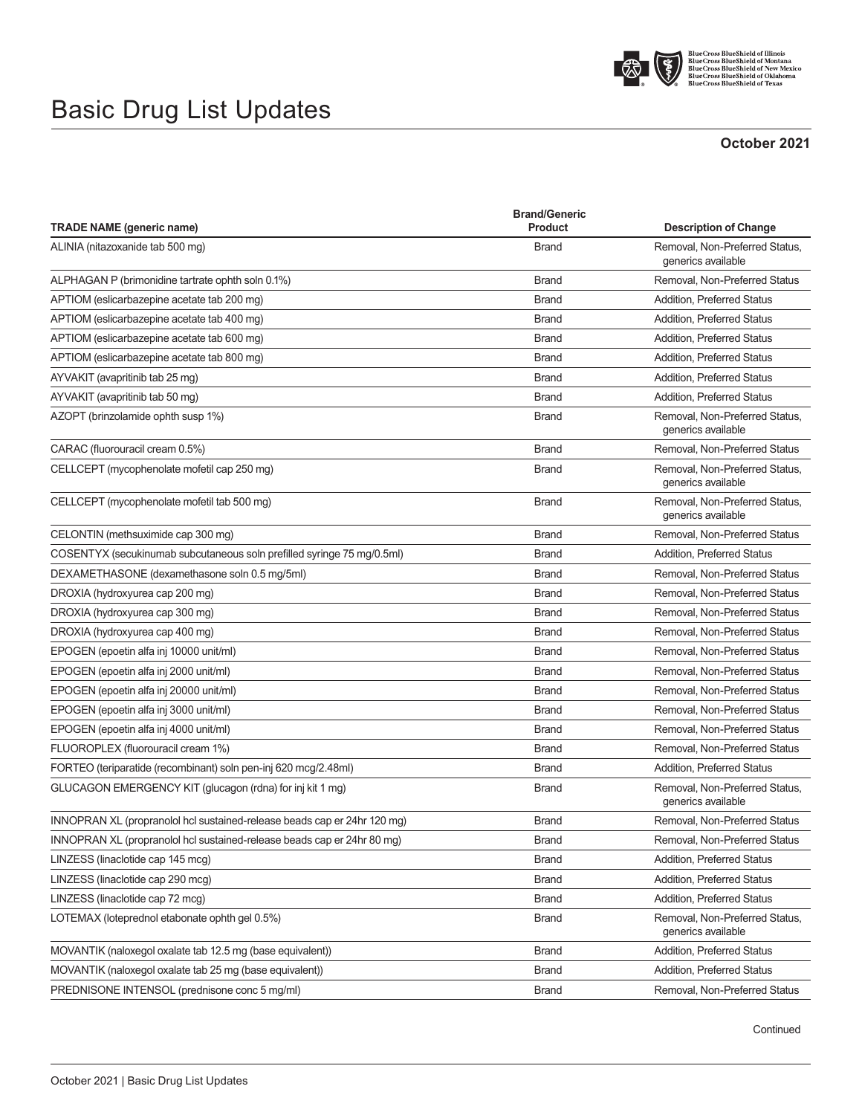

BlueCross BlueShield of Illinois<br>BlueCross BlueShield of Montana<br>BlueCross BlueShield of New Mexico<br>BlueCross BlueShield of Oklahoma<br>BlueCross BlueShield of Texas

## Basic Drug List Updates

## **October 2021**

| <b>TRADE NAME (generic name)</b>                                         | <b>Brand/Generic</b><br>Product | <b>Description of Change</b>                         |
|--------------------------------------------------------------------------|---------------------------------|------------------------------------------------------|
| ALINIA (nitazoxanide tab 500 mg)                                         | <b>Brand</b>                    | Removal, Non-Preferred Status,                       |
|                                                                          |                                 | generics available                                   |
| ALPHAGAN P (brimonidine tartrate ophth soln 0.1%)                        | <b>Brand</b>                    | Removal, Non-Preferred Status                        |
| APTIOM (eslicarbazepine acetate tab 200 mg)                              | <b>Brand</b>                    | Addition, Preferred Status                           |
| APTIOM (eslicarbazepine acetate tab 400 mg)                              | <b>Brand</b>                    | Addition, Preferred Status                           |
| APTIOM (eslicarbazepine acetate tab 600 mg)                              | <b>Brand</b>                    | Addition, Preferred Status                           |
| APTIOM (eslicarbazepine acetate tab 800 mg)                              | <b>Brand</b>                    | <b>Addition, Preferred Status</b>                    |
| AYVAKIT (avapritinib tab 25 mg)                                          | <b>Brand</b>                    | <b>Addition, Preferred Status</b>                    |
| AYVAKIT (avapritinib tab 50 mg)                                          | <b>Brand</b>                    | <b>Addition, Preferred Status</b>                    |
| AZOPT (brinzolamide ophth susp 1%)                                       | <b>Brand</b>                    | Removal, Non-Preferred Status,<br>generics available |
| CARAC (fluorouracil cream 0.5%)                                          | <b>Brand</b>                    | Removal, Non-Preferred Status                        |
| CELLCEPT (mycophenolate mofetil cap 250 mg)                              | <b>Brand</b>                    | Removal, Non-Preferred Status,<br>generics available |
| CELLCEPT (mycophenolate mofetil tab 500 mg)                              | <b>Brand</b>                    | Removal, Non-Preferred Status,<br>generics available |
| CELONTIN (methsuximide cap 300 mg)                                       | <b>Brand</b>                    | Removal, Non-Preferred Status                        |
| COSENTYX (secukinumab subcutaneous soln prefilled syringe 75 mg/0.5ml)   | <b>Brand</b>                    | <b>Addition, Preferred Status</b>                    |
| DEXAMETHASONE (dexamethasone soln 0.5 mg/5ml)                            | <b>Brand</b>                    | Removal, Non-Preferred Status                        |
| DROXIA (hydroxyurea cap 200 mg)                                          | <b>Brand</b>                    | Removal, Non-Preferred Status                        |
| DROXIA (hydroxyurea cap 300 mg)                                          | <b>Brand</b>                    | Removal, Non-Preferred Status                        |
| DROXIA (hydroxyurea cap 400 mg)                                          | <b>Brand</b>                    | Removal, Non-Preferred Status                        |
| EPOGEN (epoetin alfa inj 10000 unit/ml)                                  | <b>Brand</b>                    | Removal, Non-Preferred Status                        |
| EPOGEN (epoetin alfa inj 2000 unit/ml)                                   | <b>Brand</b>                    | Removal, Non-Preferred Status                        |
| EPOGEN (epoetin alfa inj 20000 unit/ml)                                  | <b>Brand</b>                    | Removal, Non-Preferred Status                        |
| EPOGEN (epoetin alfa inj 3000 unit/ml)                                   | <b>Brand</b>                    | Removal, Non-Preferred Status                        |
| EPOGEN (epoetin alfa inj 4000 unit/ml)                                   | <b>Brand</b>                    | Removal, Non-Preferred Status                        |
| FLUOROPLEX (fluorouracil cream 1%)                                       | <b>Brand</b>                    | Removal, Non-Preferred Status                        |
| FORTEO (teriparatide (recombinant) soln pen-inj 620 mcg/2.48ml)          | <b>Brand</b>                    | <b>Addition, Preferred Status</b>                    |
| GLUCAGON EMERGENCY KIT (glucagon (rdna) for inj kit 1 mg)                | <b>Brand</b>                    | Removal, Non-Preferred Status,<br>generics available |
| INNOPRAN XL (propranolol hcl sustained-release beads cap er 24hr 120 mg) | <b>Brand</b>                    | Removal, Non-Preferred Status                        |
| INNOPRAN XL (propranolol hcl sustained-release beads cap er 24hr 80 mg)  | <b>Brand</b>                    | Removal, Non-Preferred Status                        |
| LINZESS (linaclotide cap 145 mcg)                                        | <b>Brand</b>                    | <b>Addition, Preferred Status</b>                    |
| LINZESS (linaclotide cap 290 mcg)                                        | <b>Brand</b>                    | Addition, Preferred Status                           |
| LINZESS (linaclotide cap 72 mcg)                                         | <b>Brand</b>                    | Addition, Preferred Status                           |
| LOTEMAX (loteprednol etabonate ophth gel 0.5%)                           | <b>Brand</b>                    | Removal, Non-Preferred Status,<br>generics available |
| MOVANTIK (naloxegol oxalate tab 12.5 mg (base equivalent))               | <b>Brand</b>                    | Addition, Preferred Status                           |
| MOVANTIK (naloxegol oxalate tab 25 mg (base equivalent))                 | <b>Brand</b>                    | Addition, Preferred Status                           |
| PREDNISONE INTENSOL (prednisone conc 5 mg/ml)                            | <b>Brand</b>                    | Removal, Non-Preferred Status                        |